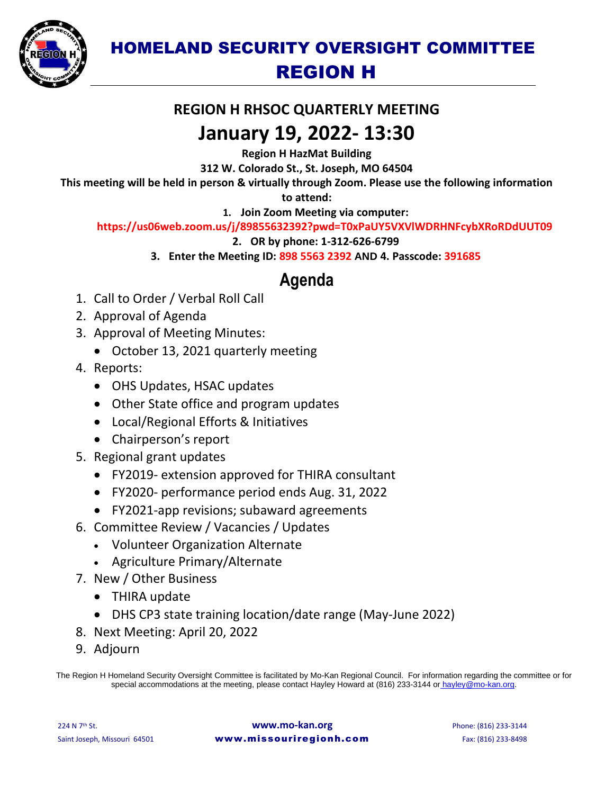

## HOMELAND SECURITY OVERSIGHT COMMITTEE REGION H

### **REGION H RHSOC QUARTERLY MEETING**

## **January 19, 2022- 13:30**

**Region H HazMat Building** 

**312 W. Colorado St., St. Joseph, MO 64504** 

**This meeting will be held in person & virtually through Zoom. Please use the following information** 

**to attend:** 

**1. Join Zoom Meeting via computer:**

#### **https://us06web.zoom.us/j/89855632392?pwd=T0xPaUY5VXVlWDRHNFcybXRoRDdUUT09**

**2. OR by phone: 1-312-626-6799**

**3. Enter the Meeting ID: 898 5563 2392 AND 4. Passcode: 391685**

### **Agenda**

- 1. Call to Order / Verbal Roll Call
- 2. Approval of Agenda
- 3. Approval of Meeting Minutes:
	- October 13, 2021 quarterly meeting
- 4. Reports:
	- OHS Updates, HSAC updates
	- Other State office and program updates
	- Local/Regional Efforts & Initiatives
	- Chairperson's report
- 5. Regional grant updates
	- FY2019- extension approved for THIRA consultant
	- FY2020- performance period ends Aug. 31, 2022
	- FY2021-app revisions; subaward agreements
- 6. Committee Review / Vacancies / Updates
	- Volunteer Organization Alternate
	- Agriculture Primary/Alternate
- 7. New / Other Business
	- THIRA update
	- DHS CP3 state training location/date range (May-June 2022)
- 8. Next Meeting: April 20, 2022
- 9. Adjourn

The Region H Homeland Security Oversight Committee is facilitated by Mo-Kan Regional Council. For information regarding the committee or for special accommodations at the meeting, please contact Hayley Howard at (816) 233-3144 or [hayley@mo-kan.org.](mailto:hayley@mo-kan.org)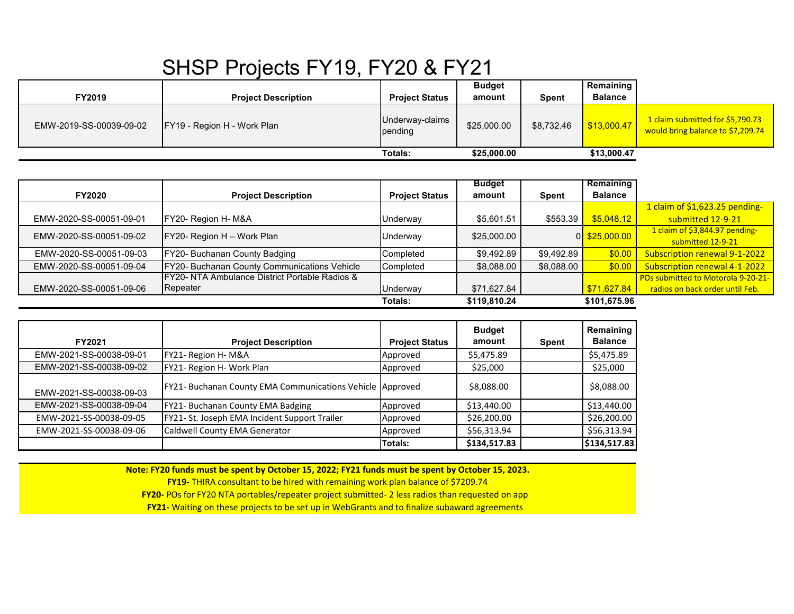## SHSP Projects FY19, FY20 & FY21

| FY2019                  | <b>Project Description</b>         | <b>Project Status</b>      | <b>Budget</b><br>amount    | <b>Spent</b> | <b>Remaining</b><br><b>Balance</b> |                                                                       |
|-------------------------|------------------------------------|----------------------------|----------------------------|--------------|------------------------------------|-----------------------------------------------------------------------|
| EMW-2019-SS-00039-09-02 | <b>FY19 - Region H - Work Plan</b> | Underway-claims<br>pending | \$25,000.00                | \$8.732.46   | \$13,000.47                        | 1 claim submitted for \$5,790.73<br>would bring balance to \$7,209.74 |
|                         |                                    | Totals:                    | \$13,000.47<br>\$25,000.00 |              |                                    |                                                                       |

|                         |                                                            |                       | <b>Budget</b> |            | Remaining       |                                    |
|-------------------------|------------------------------------------------------------|-----------------------|---------------|------------|-----------------|------------------------------------|
| <b>FY2020</b>           | <b>Project Description</b>                                 | <b>Project Status</b> | amount        | Spent      | <b>Balance</b>  |                                    |
|                         |                                                            |                       |               |            |                 | 1 claim of \$1,623.25 pending-     |
| EMW-2020-SS-00051-09-01 | FY20- Region H- M&A                                        | Underway              | \$5,601.51    | \$553.39   | \$5,048.12      | submitted 12-9-21                  |
| EMW-2020-SS-00051-09-02 | FY20- Region H - Work Plan                                 | Underway              | \$25,000.00   |            | $0$ \$25,000.00 | 1 claim of $$3,844.97$ pending-    |
|                         |                                                            |                       |               |            |                 | submitted 12-9-21                  |
| EMW-2020-SS-00051-09-03 | FY20- Buchanan County Badging                              | Completed             | \$9,492.89    | \$9,492.89 | \$0.00          | Subscription renewal 9-1-2022      |
| EMW-2020-SS-00051-09-04 | FY20- Buchanan County Communications Vehicle               | Completed             | \$8,088.00    | \$8,088.00 | \$0.00          | Subscription renewal 4-1-2022      |
|                         | <b>IFY20- NTA Ambulance District Portable Radios &amp;</b> |                       |               |            |                 | POs submitted to Motorola 9-20-21- |
| EMW-2020-SS-00051-09-06 | Repeater                                                   | Underway              | \$71,627.84   |            | \$71,627.84     | radios on back order until Feb.    |
|                         |                                                            | Totals:               | \$119,810.24  |            | \$101,675.96    |                                    |

| FY2021                  | <b>Project Description</b>                                | <b>Project Status</b> | <b>Budget</b><br>amount | Spent | Remaining<br><b>Balance</b> |
|-------------------------|-----------------------------------------------------------|-----------------------|-------------------------|-------|-----------------------------|
| EMW-2021-SS-00038-09-01 | FY21- Region H- M&A                                       | Approved              | \$5,475.89              |       | \$5,475.89                  |
| EMW-2021-SS-00038-09-02 | FY21- Region H- Work Plan                                 | Approved              | \$25,000                |       | \$25,000                    |
| EMW-2021-SS-00038-09-03 | FY21- Buchanan County EMA Communications Vehicle Approved |                       | \$8,088.00              |       | \$8,088.00                  |
| EMW-2021-SS-00038-09-04 | FY21- Buchanan County EMA Badging                         | Approved              | \$13,440.00             |       | \$13,440.00                 |
| EMW-2021-SS-00038-09-05 | FY21- St. Joseph EMA Incident Support Trailer             | Approved              | \$26,200.00             |       | \$26,200.00                 |
| EMW-2021-SS-00038-09-06 | Caldwell County EMA Generator                             | Approved              | \$56,313.94             |       | \$56,313.94                 |
|                         |                                                           | lTotals:              | \$134,517.83            |       | \$134,517.83                |

**Note: FY20 funds must be spent by October 15, 2022; FY21 funds must be spent by October 15, 2023.**

**FY19-** THIRA consultant to be hired with remaining work plan balance of \$7209.74

**FY20-** POs for FY20 NTA portables/repeater project submitted- 2 less radios than requested on app

**FY21-** Waiting on these projects to be set up in WebGrants and to finalize subaward agreements